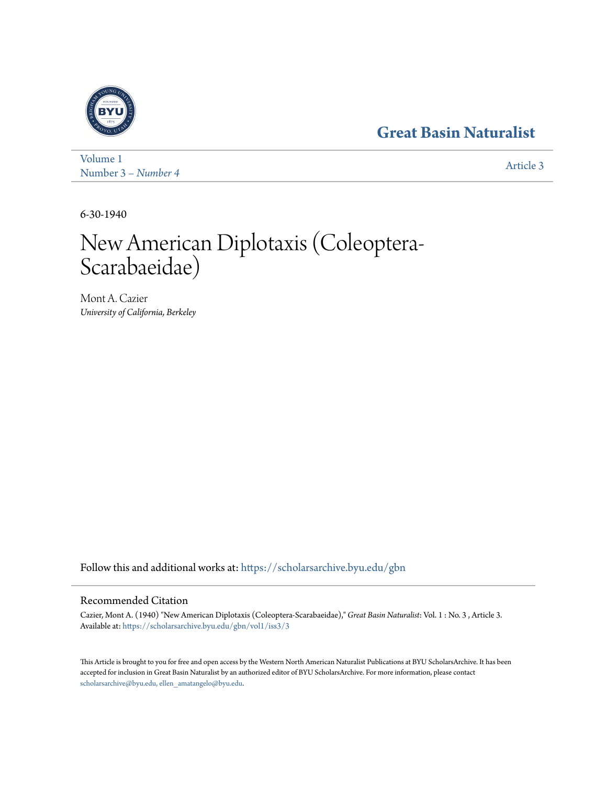# **[Great Basin Naturalist](https://scholarsarchive.byu.edu/gbn?utm_source=scholarsarchive.byu.edu%2Fgbn%2Fvol1%2Fiss3%2F3&utm_medium=PDF&utm_campaign=PDFCoverPages)**



[Volume 1](https://scholarsarchive.byu.edu/gbn/vol1?utm_source=scholarsarchive.byu.edu%2Fgbn%2Fvol1%2Fiss3%2F3&utm_medium=PDF&utm_campaign=PDFCoverPages) volume 1<br>Number 3 [– Number 4](https://scholarsarchive.byu.edu/gbn/vol1/iss3?utm_source=scholarsarchive.byu.edu%2Fgbn%2Fvol1%2Fiss3%2F3&utm_medium=PDF&utm_campaign=PDFCoverPages)

6-30-1940

# New American Diplotaxis (Coleoptera-Scarabaeidae)

Mont A. Cazier *University of California, Berkeley*

Follow this and additional works at: [https://scholarsarchive.byu.edu/gbn](https://scholarsarchive.byu.edu/gbn?utm_source=scholarsarchive.byu.edu%2Fgbn%2Fvol1%2Fiss3%2F3&utm_medium=PDF&utm_campaign=PDFCoverPages)

### Recommended Citation

Cazier, Mont A. (1940) "New American Diplotaxis (Coleoptera-Scarabaeidae)," *Great Basin Naturalist*: Vol. 1 : No. 3 , Article 3. Available at: [https://scholarsarchive.byu.edu/gbn/vol1/iss3/3](https://scholarsarchive.byu.edu/gbn/vol1/iss3/3?utm_source=scholarsarchive.byu.edu%2Fgbn%2Fvol1%2Fiss3%2F3&utm_medium=PDF&utm_campaign=PDFCoverPages)

This Article is brought to you for free and open access by the Western North American Naturalist Publications at BYU ScholarsArchive. It has been accepted for inclusion in Great Basin Naturalist by an authorized editor of BYU ScholarsArchive. For more information, please contact [scholarsarchive@byu.edu, ellen\\_amatangelo@byu.edu.](mailto:scholarsarchive@byu.edu,%20ellen_amatangelo@byu.edu)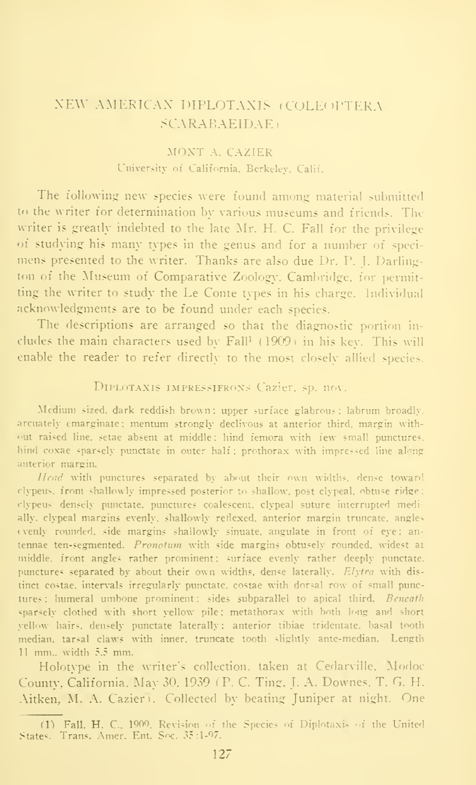## XEW AMERICAN DIPLOTAXIS (COLEOrTERA-SCARABAEIDAE)

#### MOXT A. CAZIER University of California. Berkeley, Calif.

The following new species were found among material submitted to the writer for determination by various museums and friends. The writer is greatly indebted to the late Mr. H. C. Fall for the privilege of studying his many types in the genus and for <sup>a</sup> number of speci mens presented to the writer. Thanks are also due Dr. P. J. Darlington of the Museum of Comparative Zoology, Cambridge, for permitting the writer to study the Le Conte types in his charge. Individual acknowledgments are to be found under each species.

The descriptions are arranged so that the diagnostic portion in cludes the main characters used by Fall<sup>1</sup> (1909) in his key. This will enable the reader to refer directly to the most closely allied species.

#### DIPLOTAXIS IMPRESSIFRONS Cazier, sp. nov.

Medium sized, dark reddish brown: upper surface glabrous; labrum broadly, arcuately emarginate : mentum strongly declivous at anterior third, margin with out raised line, setae absent at middle : hind femora with few small punctures, hind coxae sparsely punctate in outer half ; prothorax with impressed line along anterior margin.

Head with punctures separated by about their own widths, dense toward clypeus. front shallowly impressed posterior to shallow, post clypeal, obtuse ridge rlypeus densely punctate, punctures coalescent. clypeal suture interrupted medially, clypeal margins evenly, shallowly reflexed, anterior margin truncate, angles  $\overline{\text{ev}}$ enly rounded, side margins shallowly sinuate, angulate in front of eye; antennae ten-segmented. Pronotum with side margins obtusely rounded, widest at middle, front angles rather prominent: surface evenly rather deeply punctate, punctures separated by about their own widths, dense laterally. Elytra with distinct costae, intervals irregularly punctate, costae with dorsal row of small punctures : humeral umbone prominent : sides subparallel to apical third. Beneath sparsely clothed with short yellow pile; metathorax with both long and short yellow hairs, densely punctate laterally; anterior tibiae tridentate, basal tooth median, tarsal claws with inner, truncate tooth slightly ante-median. Length 11 mm., width 5.5 mm.

Holotype in the writer's collection, taken at Cedarvillc. Modoc County, California, May 30, 1939 (P. C. Ting. J. A. Downes, T. G. H. Aitken, M. A. Cazier). Collected by beating Juniper at night. One

<sup>(1)</sup> Fall. H. C. 1909. Revision of the Species of Diplotaxis of the United States. Trans. Amer. Ent. Soc. 35:1-97.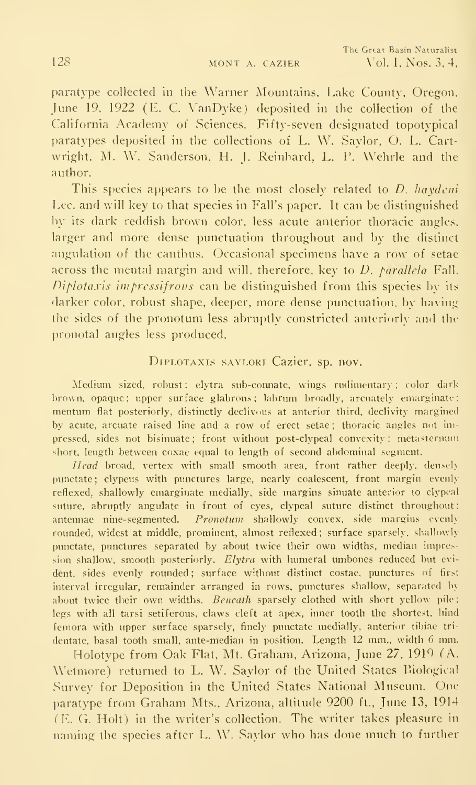paratype collected in the Warner Mountains, Lake County, Oregon. June 19, 1922 (E. C. VanDyke) deposited in the collection of the California Academy of Sciences. Fifty-seven designated topotypical paratypes deposited in the collections of L. W. Saylor, O. L. Cartwright, M. W. Sanderson, H. J. Reinhard, L. P. Wehrle and the author.

This species appears to be the most closely related to  $D$ . haydeni Lee. and will key to that species in Fall's paper. It can be distinguished by its dark reddish brown color, less acute anterior thoracic angles, larger and more dense punctuation throughout and by the distinct angulation of the canthus. Occasional specimens have a row of setae across the mental margin and will, therefore, key to  $D$ . parallela Fall. Diplotaxis impressifrons can be distinguished from this species by its darker color, robust shape, deeper, more dense punctuation, by having the sides of the pronotum less abruptly constricted anteriorly and the pronotal angles less produced.

#### DIPLOTAXIS SAYLORI Cazier, sp. nov.

Medium sized, robust; elytra sub-connate, wings rudimentary; color darkbrown, opaque; upper surface glabrous; labrum broadly, arcuately emarginate; mentum flat posteriorly, distinctly declivous at anterior third, declivity margined by acute, arcuate raised line and a row of erect setae; thoracic angles not ini pressed, sides not bisinuate; front without post-clypeal convexity; metasternum short, length between coxae equal to length of second abdominal segment.

Head broad, vertex with small smooth area, front rather deeply, densely punctate; clypeus with punctures large, nearly coalescent, front margin evenly reflexed, shallowly emarginate medially, side margins sinuate anterior to clypeal suture, abruptly angulate in front of eyes, clypeal suture distinct throughout; antennae nine-segmented. Pronotum shallowly convex, side margins evenly rounded, widest at middle, prominent, almost reflexed; surface sparsely, sliallowly punctate, punctures separated by about twice their own widths, median impression shallow, smooth posteriorly. Elytra with humeral umbones reduced but evident, sides evenly rounded; surface without distinct costac. punctures of firsl interval irregular, remainder arranged in rows, punctures shallow, separated by about twice their own widths. Beneath sparsely clothed with short yellow pile; legs with all tarsi setiferous, claws cleft at apex, inner tooth the shortest, liind femora with upper surface sparsely, finely punctate medially, anterior tibiae tri dentate. basal tooth small, ante-median in position. Length <sup>12</sup> mm., width 6 mm.

Holotypc from Oak Flat, Mt. Graham, Arizona, June 27, 1910 (A. Wetmore) returned to L. W. Saylor of the United States Biological .Survey for Deposition in the United States National Museum. One paratype from Graham Mts., Arizona, altitude 9200 ft., June 13, 1914  $(E. G. Holt)$  in the writer's collection. The writer takes pleasure in naming the species after L. W. Saylor who has done much to further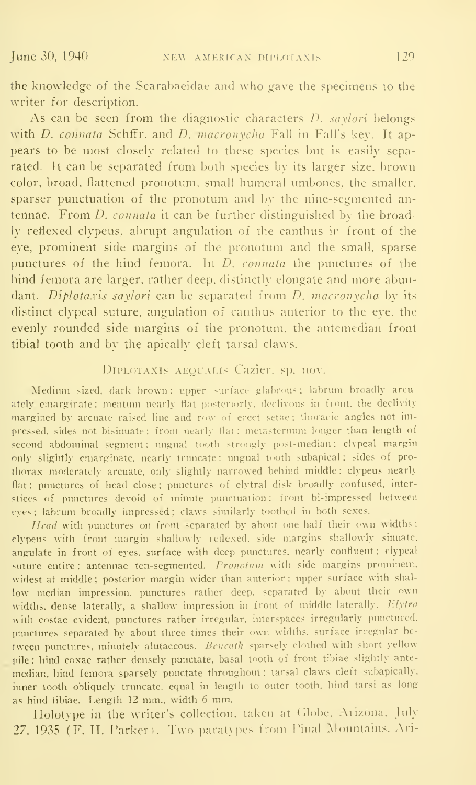the knowledge of the Scarabaeidae and who gave the specimens to the writer for description.

As can be seen from the diagnostic characters *D. saylori* belongs with D. connata Schffr. and D. macronycha Fall in Fall's key. It appears to be most closely related to these species but is easily separated. It can be separated from both species by its larger size, brown color, broad, flattened pronotum. small humeral umbones, the smaller, sparser punctuation of the pronotum and by the nine-segmented antennae. From  $D$ , connata it can be further distinguished by the broadly reflexed clypeus, abrupt angulation of the canthus in front of the eye, prominent side margins of the pronotum and the small, sparse punctures of the hind femora. In  $D$ . connata the punctures of the hind femora are larger, rather deep, distinctly elongate and more abundant. *Diplotaxis saylori* can be separated from  $D$ , macronycha by its distinct clypeal suture, angulation of cantlius anterior to the eye, the evenly rounded side margins of the pronotum, the antemedian front tibial tooth and by the apically cleft tarsal claws.

#### DIPLOTAXIS AEQUALIS Cazier. sp. nov.

Medium sized, dark brown: upper surface glabrous; labrum broadly arcuately emarginate: mentum nearly flat posteriorly, declivous in front, the declivity margined by arcuate raised line and row of erect setae : thoracic angles not impressed, sides not bisinuate : front nearly Hat; metasternum longer than length of second abdominal segment; ungual tooth strongly post-median; clypeal margin only sliglitly emarginate, nearly truncate: ungual tooth subapical : sides of protliorax moderately arcuate, only slightly narrowed behind middle: clypeus nearly flat: punctures of head close; punctures of elytral disk broadly confused, inter stices of punctures devoid of minute punctuation; front bi-impressed between ryes ; labrum broadly impressed ; claws similarly toothed in both sexes.

Head with punctures on front separated by about one-half their own widths; clypeus with front margin shallowly reflexed, side margins shallowly sinuate, angulate in front of eyes, surface with deep punctures, nearly confluent ; clypeal suture entire; antennae ten-segmented. *Pronotum* with side margins prominent, widest at middle; posterior margin wider than anterior; upper surface with shallow median impression, punctures rather deep, separated by about their own widths, dense laterally, a shallow impression in front of middle laterally. Elytra with costae evident, punctures rather irregular, interspaces irregularly punctured, punctures separated by about three times their own widths, surface irregular be tween punctures, minutely alutaceous. *Beneath* sparsely clothed with short yellow pile; hind coxae rather densely punctate, basal tooth of front tibiae slightly antemedian, hind femora sparsely punctate throughout; tarsal claws cleft subapically. inner tooth obliquely truncate, equal in length to outer tooth, hind tarsi as long as hind tibiae. Length <sup>12</sup> mm., width <sup>6</sup> mm.

Holotype in the writer's collection, taken at Globe. Arizona. July  $27.1935$  (F. H. Parker). Two paratypes from Pinal Mountains, Ari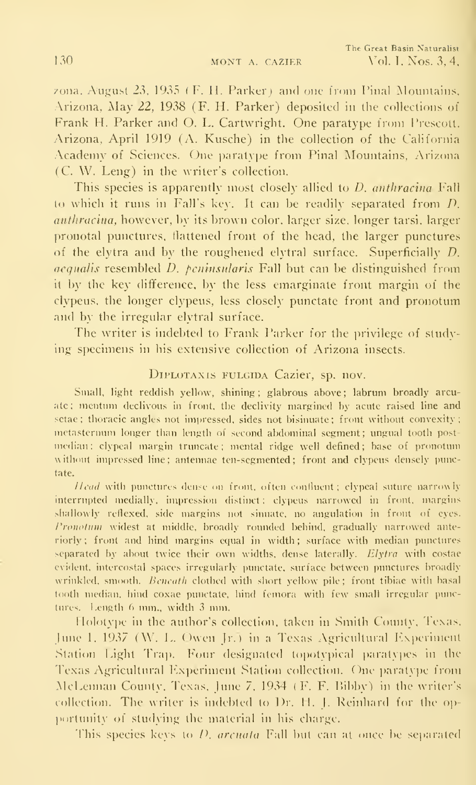zona. August 23, 1935 (F. H. Parker) and one from Pinal Mountains. Arizona, Alay 22, 1938 (F. H. Parker) deposited in the collections of Frank H. Parker and O. L. Cartwright. One paratype from Prescott. Arizona, April 1919 (A. Kusche) in the collection of the California Academy of Sciences. One paratype from Pinal Mountains, Arizona (C. W. Leng) in the writer's collection.

This species is apparently most closely allied to  $D$ . anthracina Fall to which it runs in Fall's key. It can be readily separated from D. anthracina, however, by its brown color, larger size, longer tarsi, larger pronotal punctures, fattened front of the head, the larger punctures of the elytra and by the roughened elytral surface. Superficially D.  $a$ equalis resembled  $D$ . peninsularis Fall but can be distinguished from it by the key difference, by the less emarginate front margin of the clypeus. the longer clypeus, less closely punctate front and pronotum and by the irregular elytral surface.

The writer is indebted to Frank Parker for the privilege of studying specimens in his extensive collection of Arizona insects.

#### DiPLOTAXis FULGiDA Cazier, sp. nov.

Small, light reddish yellow, shining; glabrous above; labrum broadly arcuate; mentum declivous in front, the declivity margined by acute raised line and setae ; thoracic angles not impressed, sides not bisinuate ; front without convexity ; metasternum longer than length of second abdominal segment; ungual tooth post median: clypeal margin truncate; mental ridge well defined; base of pronotum without impressed line; antennae ten-segmented; front and clypeus densely punctate.

 $Head$  with punctures dense on front, often confluent; clypeal suture narrowly interrupted medially, impression distinct ; clypeus narrowed in front, margins shallowly reflexed, side margins not sinuate, no angulation in front of eyes. Pronotum widest at middle, broadly rounded behind, gradually narrowed anteriorly; front and hind margins equal in width; surface with median punctures separated by about twice their own widths, dense laterally. Elytra with costae evident, intercostal spaces irregularly punctate, surface between punctures broadly wrinkled, smooth. Beneath clothed with short yellow pile; front tibiae with basal tooth median, hind coxae punctate, hind femora with few small irregular punctures. Length 6 mm., width 3 nun.

Holotype in the author's collection, taken in Smith County, Texas, June 1, 1937 (W. L. Owen Jr.) in a Texas Agricultural Experiment Station Light Trap. Four designated topotypical paratypes in the Texas Agricultural Experiment Station collection. One paratype from McLennan County, Texas, June 7, 1934 (F. F. Bibby) in the writer's collection. The writer is indebted to Dr. H. J. Reinhard for the opportunity of studying the material in his charge.

This species keys to  $D$ , arcuata Fall but can at once be separated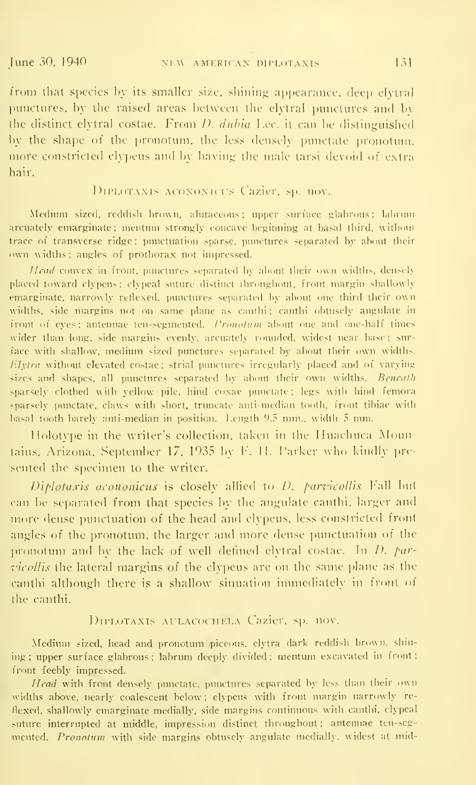from that species by its smaller size, shining appearance, deep elytral punctures, by the raised areas between the elytral punctures and by the distinct elvtral costae. From *D. dubia* Lec. it can be distinguished by the shape of the pronotum, the less densely punctate pronotum. more constricted clypeus and by having the male tarsi devoid of extrahair.

#### DIPLOTAXIS ACONONICUS Cazier, sp. nov.

Medium sized, reddish brown, alutaceous; upper surface glabrous; labrum arcuately emarginate; mentum strongly concave beginning at basal third, without trace of transverse ridge; punctuation sparse, punctures separated by about their own widths; angles of prothorax not impressed.

Head convex in front, punctures separated by about their own widths, densely placed toward clypeus; clypeal suture distinct throughout, front margin shallowly emarginate, narrowly reflexed, punctures separated by about one third their own widths, side margins not on same plane as canthi; canthi obtusely angulate in front of eyes; antennae ten-segmented. *Pronotum* about one and one-half times wider than long, side margins evenly, arcuately rounded, widest near base; surface with shallow, medium sized punctures separated by about their own widths. Elytra without elevated costae; strial punctures irregularly placed and of varying sizes and shapes, all punctures separated by about their own widths. Beneath sparsely clothed with yellow pile, hind coxae punctate; legs with hind femora sparsely punctate, claws with short, truncate anti-median tooth, front tibiae with basal tooth barely anti-median in position. Length 9.5 mm., width 5 mm.

Holotype in the writer's collection, taken in the Huachuca Mountains, Arizona, September 17, 1935 by F. H. Parker who kindly presented the specimen to the writer.

Diplotaxis acononicus is closely allied to D. parvicollis Fall but can be separated from that species by the angulate canthi, larger and more dense punctuation of the head and clypeus, less constricted front angles of the pronotum, the larger and more dense punctuation of the pronotum and by the lack of well defined elvtral costae. In  $D$ , parvicollis the lateral margins of the clypeus are on the same plane as the canthi although there is a shallow sinuation immediately in front of the canthi.

#### DIPLOTAXIS AULACOCHELA Cazier, sp. nov.

Medium sized, head and pronotum piceous, elytra dark reddish brown, shining; upper surface glabrous; labrum deeply divided; mentum excavated in front; front feebly impressed.

Head with front densely punctate, punctures separated by less than their own widths above, nearly coalescent below; clypeus with front margin narrowly reflexed, shallowly emarginate medially, side margins continuous with canthi, clypeal suture interrupted at middle, impression distinct throughout; antennae ten-segmented. Pronotum with side margins obtusely angulate medially, widest at mid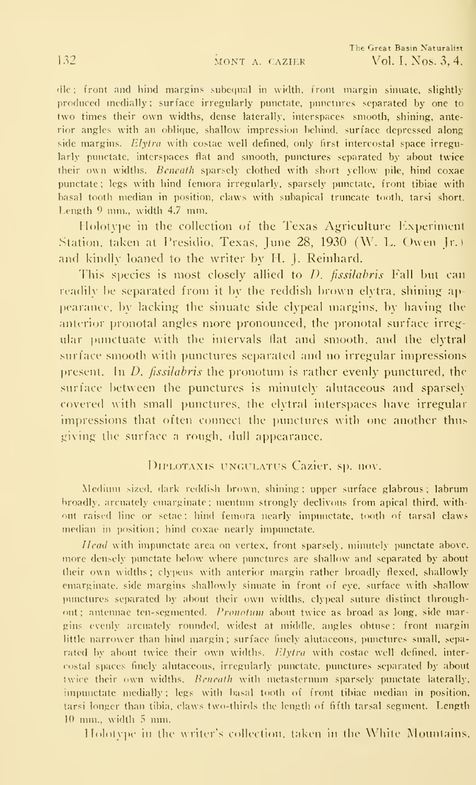dle; front and hind margins subequal in width, front margin sinuate, slightly produced medially ; surface irregularly punctate, punctures separated by one to two times their own widths, dense laterally, interspaces smooth, shining, anterior angles with an oblique, shallow impression behind, surface depressed along side margins.  $Elytra$  with costae well defined, only first intercostal space irregularly punctate, interspaces flat and smooth, punctures separated by about twice their own widths. Beneath sparsely clothed with short yellow pile, hind coxae punctate ; legs with hind femora irregularly, sparsely punctate, front tibiae with basal tooth median in position, claws with subapical truncate tooth, tarsi short. Length 9 mm., width 4.7 mm.

Holotype in the collection of the Texas Agriculture Experiment .Station, taken at Presidio, Texas, June 28, 1930 (W. L. Owen jr.) and kindly loaned to the writer by H. J. Reinhard.

This species is most closely allied to  $D$ . *fissilabris* Fall but can readily be separated from it by the reddish brown elytra, shining appearance, by lacking the sinuate side clypeal margins, by having the anterior pronotal angles more pronounced, the pronotal surface irreg ular punctuate with the intervals flat and smooth, and the elytral surface smooth with punctures separated and no irregular impressions present. In D. fissilabris the pronotum is rather evenly punctured, the surface between the punctures is minutely alutaceous and sparsely covered with small punctures, the elytral interspaces have irregular impressions that often connect the punctures with one another thus giving the surface a rough, dull appearance.

#### DIPLOTAXIS UNGULATUS Cazier, sp. nov.

Medium sized, dark reddish brown, shining; upper surface glabrous; labrum broadly, arcuately emarginate; mentum strongly declivous from apical third, without raised line or setae; hind femora nearly impunctate, tooth of tarsal claws median in position; hind coxae nearly impunctate.

Head with impunctate area on vertex, front sparsely, minutely punctate above. more densely punctate below where punctures are shallow and separated by about their own widths ; clypeus with anterior margin rather broadly flexed, shallowly emarginatc. side margins shallowly sinuate in front of eye. surface with shallow punctures separated by about their own widths, clypeal suture distinct throughont; antennae ten-segmented. *Pronotum* about twice as broad as long, side margins evenly arcuately rotmded. widest at middle, angles obtuse: front margin little narrower than hind margin; surface finely alutaceous, punctures small, separated by about twice their own widths. Elytra with costae well defined, intercostal spaces finely alutaceous, irregularly punctate, punctures separated by about twice their own widths. *Beneath* with metasternum sparsely punctate laterally, impunctate medially; legs with basal tooth of front tibiae median in position, tarsi longer than tibia, claws two-thirds the length of fifth tarsal segment. Length 10 mm., width 5 mm.

Holotype in the writer's collection, taken in the White Mountains,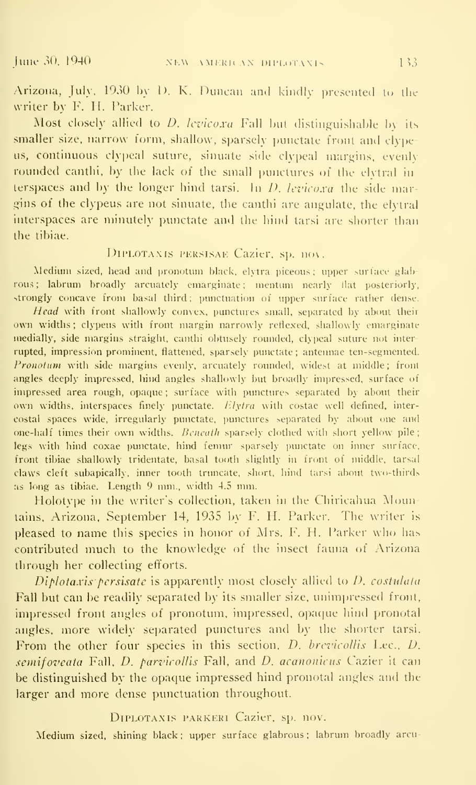June 30, 1940

Arizona, July, 1930 by D. K. Duncan and kindly presented to the writer by F. H. Parker.

Most closely allied to *D. levicoxa* Fall but distinguishable by its smaller size, narrow form, shallow, sparsely punctate front and clypeus, continuous clypeal suture, sinuate side clypeal margins, evenly rounded canthi, by the lack of the small punctures of the elytral in terspaces and by the longer hind tarsi. In  $D$ , levicoxa the side margins of the clypeus are not sinuate, the canthi are angulate, the elytral interspaces are minutely punctate and the hind tarsi are shorter than the tibiae.

#### DIPLOTANIS PERSISAE Cazier, sp. nov.

Medium sized, head and pronotum black, elvtra piceous; upper surface glabrous; labrum broadly arcuately emarginate; mentum nearly flat posteriorly, strongly concave from basal third; punctuation of upper surface rather dense.

Head with front shallowly convex, punctures small, separated by about their own widths; clypeus with front margin narrowly reflexed, shallowly emarginate medially, side margins straight, canthi obtusely rounded, clypeal suture not interrupted, impression prominent, flattened, sparsely punctate; antennae ten-segmented. Pronotum with side margins evenly, arcuately rounded, widest at middle; front angles deeply impressed, hind angles shallowly but broadly impressed, surface of impressed area rough, opaque; surface with punctures separated by about their own widths, interspaces finely punctate. Elytra with costae well defined, intercostal spaces wide, irregularly punctate, punctures separated by about one and one-half times their own widths. Beneath sparsely clothed with short yellow pile; legs with hind coxae punctate, hind femur sparsely punctate on inner surface, front tibiae shallowly tridentate, basal tooth slightly in front of middle, tarsal claws cleft subapically, inner tooth truncate, short, hind tarsi about two-thirds as long as tibiae. Length 9 mm., width 4.5 mm.

Holotype in the writer's collection, taken in the Chiricahua Mountains, Arizona, September 14, 1935 by F. H. Parker. The writer is pleased to name this species in honor of Mrs. F. H. Parker who has contributed much to the knowledge of the insect fauna of Arizona through her collecting efforts.

Diplotaxis persisate is apparently most closely allied to D. costulata Fall but can be readily separated by its smaller size, unimpressed front, impressed front angles of pronotum, impressed, opaque hind pronotal angles, more widely separated punctures and by the shorter tarsi. From the other four species in this section, *D. brevicollis* Lec., *D.* semifoveata Fall, D. parvicollis Fall, and D. acanonicus Cazier it can be distinguished by the opaque impressed hind pronotal angles and the larger and more dense punctuation throughout.

DIPLOTANIS PARKERI Cazier, sp. nov.

Medium sized, shining black; upper surface glabrous; labrum broadly arcu-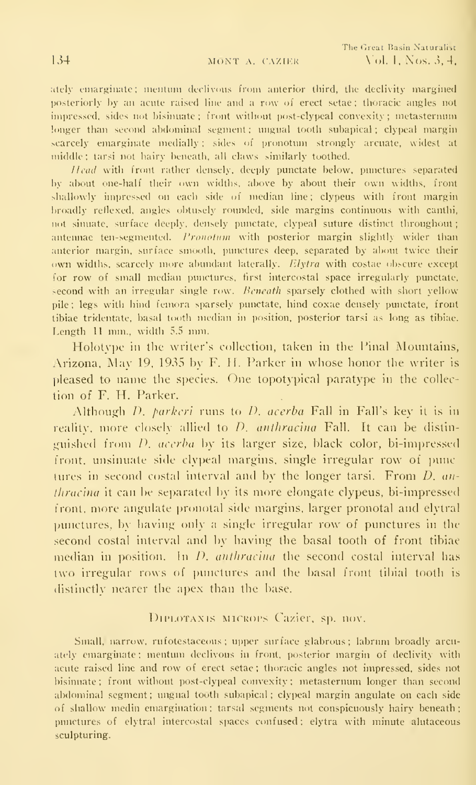ately emarginate; mentum declivous from anterior third, the declivity margined posteriorly by an acute raised line and a row of erect setae; thoracic angles not impressed, sides not bisimuate; front without post-clypeal convexity; metasternum longer than second abdominal segment; ungual tooth subapical; clypeal margin scarcely emarginate medially ; sides of pronotum strongly arcuate, widest at middle; tarsi not hairy beneath, all claws similarly toothed.

Head with front rather densely, deeply punctate below, punctures separated by about one-half their own widths, above by about their own widths, front shallowly impressed on each side of median line; clypeus with front margin broadly reFlexed, angles obtusely rounded, side margins continuous with canthi, not sinuate, surface deeply, densely punctate, clypeal suture distinct throughout; antennae ten-segmented. *Pronotum* with posterior margin slightly wider than anterior margin, surface smooth, punctures deep, separated by about twice their own widths, scarcely more abundant laterally.  $Elvtra$  with costae obscure except for row of small median punctures, first intercostal space irregularly punctate, second with an irregular single row. Beneath sparsely clothed with short yellow pile ; legs with hind femora sparsely punctate, hind coxae densely punctate, front tibiae tridentate, basal tooth median in position, posterior tarsi as long as tibiae. Length <sup>11</sup> mm., width 5.5 mm.

Holotype in the writer's collection, taken in the Pinal Mountains, Arizona, May 19, 1935 by F. H. Parker in whose honor the writer is pleased to name the species. One topotypical paratype in the collec tion of F. H. Parker.

Although  $D$ . parkeri runs to  $D$ . acerba Fall in Fall's key it is in reality, more closely allied to  $D$ , anthracina Fall. It can be distinguished from D. acerba by its larger size, black color, bi-impressed front, unsinuate side clypeal margins, single irregular row of punctures in second costal interval and by the longer tarsi. From  $D$ , an*thracina* it can be separated by its more elongate clypeus, bi-impressed front, more angulate pronotal side margins, larger pronotal and elytral punctures, by having only a single irregular row of punctures in the second costal interval and by having the basal tooth of front tibiae median in position. In  $D$ , anthracina the second costal interval has two irregular rows of punctures and the basal front tibial tooth is distinctly nearer the apex than the base.

#### DIPLOTAXIS MICROPS Cazier, sp. nov.

Small, narrow, rufotestaceous ; upper surface glabrous; labrum broadly arcuately emarginate; mentum declivous in front, posterior margin of declivity with acute raised line and row of erect setae ; thoracic angles not impressed, sides not bisinuate ; front without post-clypeal convexity ; metasternum longer than second abdominal segment ; ungual tooth subapical ; clypeal margin angulate on each side of shallow medin emargination ; tarsal segments not conspicuously hairy beneath ; punctures of elytral intercostal spaces confused ; elytra with minute alutaceous sculpturing.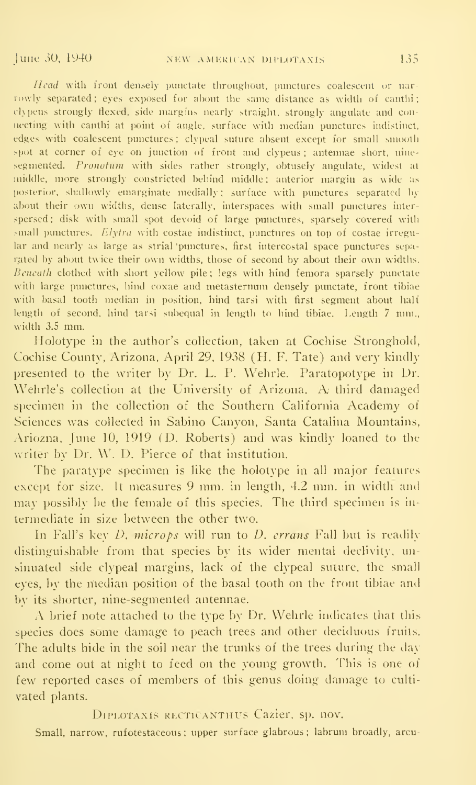Head with front densely punctate throughout, punctures coalescent or narrowly separated; eyes exposed for about the same distance as width of canthi; clypeus strongly flexed, side margins nearly straight, strongly angulate and connecting with canthi at point of angle, surface with median punctures indistinct, edges with coalescent punctures; clypeal suture absent except for small smooth spot at corner of eye on junction of front and clypeus ; antennae short, nine segmented. Pronotum with sides rather strongly, obtusely angulate, widest at middle, more strongly constricted behind middle; anterior margin as wide as posterior, shallowly emarginate medially; surface with punctures separated by about their own widths, dense laterally, interspaces with small punctures inter spersed ; disk with small spot devoid of large punctures, sparsely covered with >mal! punctures. Elytra with costae indistinct, punctures on top of costae irregular and nearly as large as strial 'punctures, first intercostal space punctures separated by about twice their own widths, those of second by about their own widths. Beneath clothed with short yellow pile; legs with hind femora sparsely punctate with large punctures, hind coxae and metasternum densely punctate, front tibiae with basal tooth median in position, hind tarsi with first segment about half length of second, hind tarsi subequal in length to hind tibiae. Length 7 mm., width 3.5 mm.

Holotype in the author's collection, taken at Cochise Stronghold, Cochise County, Arizona, April 29, 1938 (H. F. Tate) and very kindly presented to the writer by Dr. L. P. Wehrle. Paratopotype in Dr. Wehrle's collection at the University of Arizona. A third damaged specimen in the collection of the Southern California Academy of Sciences was collected in Sabino Canyon, Santa Catalina Mountains, Ariozna. June 10, 1919 (D. Roberts) and was kindly loaned to the writer by Dr. W. D. Pierce of that institution.

The paratype specimen is like the holotype in all major features except for size. It measures 9 mm. in length, 4.2 mm. in width and may possibly be the female of this species. The third specimen is intermediate in size between the other two.

In Fall's key  $D$ , microps will run to  $D$ , errans Fall but is readily distinguishable from that species by its wider mental declivity, unsinuated side clypeal margins, lack of the clypeal suture, the small eyes, by the median position of the basal tooth on the front tibiae and by its shorter, nine-segmented antennae.

A brief note attached to the type by Dr. Wehrle indicates that this species does some damage to peach trees and other deciduous fruits. The adults hide in the soil near the trunks of the trees during the day and come out at night to feed on the young growth. This is one of few reported cases of members of this genus doing damage to culti vated plants.

DIPLOTAXIS RECTICANTHUS Cazier, sp. nov.

Small, narrow, rufotestaceous; upper surface glabrous; labrum broadly, arcu-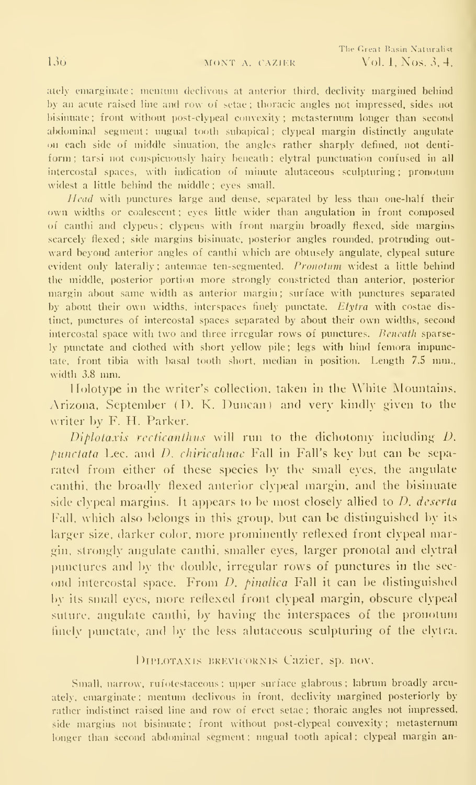ately emarginate; mentum declivous at anterior third, declivity margined behind by an aeute raised line and row of setae; thoracic angles not impressed, sides not bisinuatc; front without post-clypeal convexity; metasternum longer than second abdominal segment; ungual tooth subapical; clypeal margin distinctly angulate on each side of middle sinuation, the angles rather sharply defined, not denti form ; tarsi not conspicuously hairy beneath : elytral punctuation confused in all intercostal spaces, with indication of minute alutaceous sculpturing ; pronotuin widest a little behind the middle ; eyes small.

Head with punctures large and dense, separated by less than one-half their own widths or coalescent; eyes little wider than angulation in front composed of canthi and clypeus ; clypeus with front margin broadly flexed, side margins scarcely flexed; side margins bisinuate, posterior angles rounded, protruding outward beyond anterior angles of canthi which are obtusely angulate, clypeal suture evident only laterally; antennae ten-segmented. Pronotum widest a little behind the middle, posterior portion more strongly constricted than anterior, posterior margin about same width as anterior margin ; surface with punctures separated by about their own widths, interspaces finely punctate. Elytra with costae distinct, punctures of intercostal spaces separated by about their own widths, second intercostal space with two and three irregular rows of punctures. Beneath sparsely punctate and clothed with short yellow pile; legs with hind femora impunctate, front tibia with basal tooth short, median in position. Length 7.5 mm., width 3.8 mm.

Holotype in the writer's collection, taken in the White Mountains, Arizona, September (D. K. Duncan) and very kindly given to the writer by F. H. Parker.

Diplotaxis recticanthus will run to the dichotomy including  $\hat{D}$ . punctata Lee. and D. chiricahuac Fall in Fall's key but can be separated from either of these species by the small eves, the angulate canthi, the broadly flexed anterior clypeal margin, and the bisinuate side clypeal margins. It appears to be most closely allied to  $D$ , deserta Fall, which also belongs in this group, but can be distinguished by its larger size, darker color, more prominently refiexed front clypeal margin, strongly angulate canthi, smaller eyes, larger pronotal and elytral punctures and by the double, irregular rows of punctures in the second intercostal space. From  $D$ , *pinalica* Fall it can be distinguished by its small eyes, more reflexed front clypeal margin, obscure clypeal suture, angulate canthi, by having the interspaces of the pronotum finely punctate, and by the less alutaceous sculpturing of the elytra.

#### DIPLOTAXIS BREVICORNIS Cazier, sp. nov.

Small, narrow, rufotestaceous ; upper surface glabrous ; labrum broadly arcuately, emarginate; mentum declivous in front, declivity margined posteriorly by rather indistinct raised line and row of erect setae; thoraic angles not impressed, side margins not bisinuate; front without post-clypeal convexity; metasternum longer than second abdominal segment; ungual tooth apical; clypeal margin an-